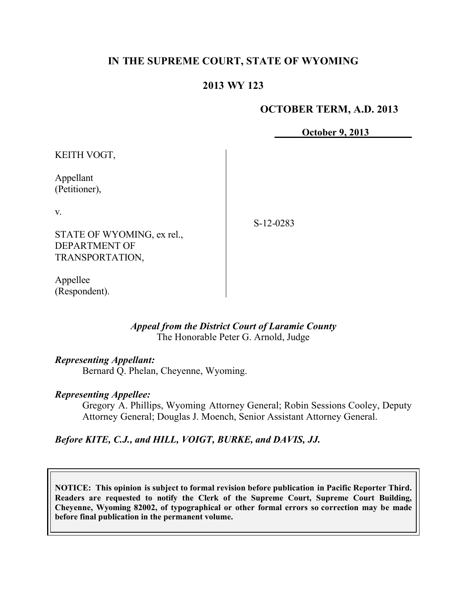## **IN THE SUPREME COURT, STATE OF WYOMING**

## **2013 WY 123**

### **OCTOBER TERM, A.D. 2013**

**October 9, 2013**

KEITH VOGT,

Appellant (Petitioner),

v.

STATE OF WYOMING, ex rel., DEPARTMENT OF TRANSPORTATION,

S-12-0283

Appellee (Respondent).

#### *Appeal from the District Court of Laramie County* The Honorable Peter G. Arnold, Judge

#### *Representing Appellant:*

Bernard Q. Phelan, Cheyenne, Wyoming.

#### *Representing Appellee:*

Gregory A. Phillips, Wyoming Attorney General; Robin Sessions Cooley, Deputy Attorney General; Douglas J. Moench, Senior Assistant Attorney General.

*Before KITE, C.J., and HILL, VOIGT, BURKE, and DAVIS, JJ.*

**NOTICE: This opinion is subject to formal revision before publication in Pacific Reporter Third. Readers are requested to notify the Clerk of the Supreme Court, Supreme Court Building, Cheyenne, Wyoming 82002, of typographical or other formal errors so correction may be made before final publication in the permanent volume.**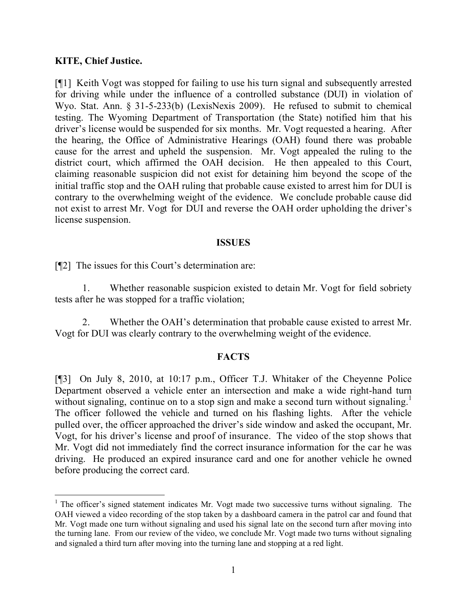### **KITE, Chief Justice.**

[¶1] Keith Vogt was stopped for failing to use his turn signal and subsequently arrested for driving while under the influence of a controlled substance (DUI) in violation of Wyo. Stat. Ann. § 31-5-233(b) (LexisNexis 2009). He refused to submit to chemical testing. The Wyoming Department of Transportation (the State) notified him that his driver's license would be suspended for six months. Mr. Vogt requested a hearing. After the hearing, the Office of Administrative Hearings (OAH) found there was probable cause for the arrest and upheld the suspension. Mr. Vogt appealed the ruling to the district court, which affirmed the OAH decision. He then appealed to this Court, claiming reasonable suspicion did not exist for detaining him beyond the scope of the initial traffic stop and the OAH ruling that probable cause existed to arrest him for DUI is contrary to the overwhelming weight of the evidence. We conclude probable cause did not exist to arrest Mr. Vogt for DUI and reverse the OAH order upholding the driver's license suspension.

#### **ISSUES**

[¶2] The issues for this Court's determination are:

1. Whether reasonable suspicion existed to detain Mr. Vogt for field sobriety tests after he was stopped for a traffic violation;

2. Whether the OAH's determination that probable cause existed to arrest Mr. Vogt for DUI was clearly contrary to the overwhelming weight of the evidence.

#### **FACTS**

[¶3] On July 8, 2010, at 10:17 p.m., Officer T.J. Whitaker of the Cheyenne Police Department observed a vehicle enter an intersection and make a wide right-hand turn without signaling, continue on to a stop sign and make a second turn without signaling.<sup>1</sup> The officer followed the vehicle and turned on his flashing lights. After the vehicle pulled over, the officer approached the driver's side window and asked the occupant, Mr. Vogt, for his driver's license and proof of insurance. The video of the stop shows that Mr. Vogt did not immediately find the correct insurance information for the car he was driving. He produced an expired insurance card and one for another vehicle he owned before producing the correct card.

 $1$  The officer's signed statement indicates Mr. Vogt made two successive turns without signaling. The OAH viewed a video recording of the stop taken by a dashboard camera in the patrol car and found that Mr. Vogt made one turn without signaling and used his signal late on the second turn after moving into the turning lane. From our review of the video, we conclude Mr. Vogt made two turns without signaling and signaled a third turn after moving into the turning lane and stopping at a red light.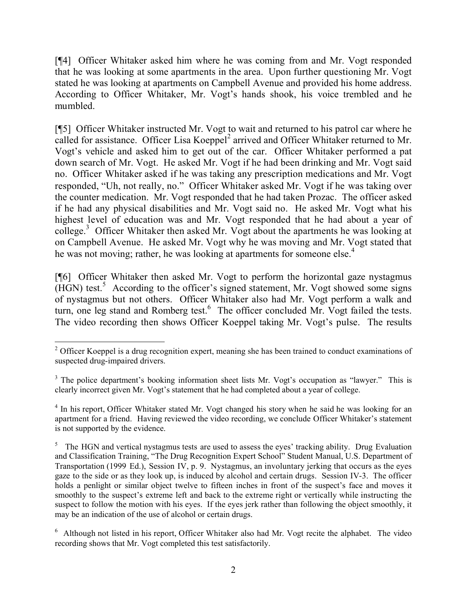[¶4] Officer Whitaker asked him where he was coming from and Mr. Vogt responded that he was looking at some apartments in the area. Upon further questioning Mr. Vogt stated he was looking at apartments on Campbell Avenue and provided his home address. According to Officer Whitaker, Mr. Vogt's hands shook, his voice trembled and he mumbled.

[¶5] Officer Whitaker instructed Mr. Vogt to wait and returned to his patrol car where he called for assistance. Officer Lisa Koeppel<sup>2</sup> arrived and Officer Whitaker returned to Mr. Vogt's vehicle and asked him to get out of the car. Officer Whitaker performed a pat down search of Mr. Vogt. He asked Mr. Vogt if he had been drinking and Mr. Vogt said no. Officer Whitaker asked if he was taking any prescription medications and Mr. Vogt responded, "Uh, not really, no." Officer Whitaker asked Mr. Vogt if he was taking over the counter medication. Mr. Vogt responded that he had taken Prozac. The officer asked if he had any physical disabilities and Mr. Vogt said no. He asked Mr. Vogt what his highest level of education was and Mr. Vogt responded that he had about a year of college.<sup>3</sup> Officer Whitaker then asked Mr. Vogt about the apartments he was looking at on Campbell Avenue. He asked Mr. Vogt why he was moving and Mr. Vogt stated that he was not moving; rather, he was looking at apartments for someone else.<sup>4</sup>

[¶6] Officer Whitaker then asked Mr. Vogt to perform the horizontal gaze nystagmus  $(HGN)$  test.<sup>5</sup> According to the officer's signed statement, Mr. Vogt showed some signs of nystagmus but not others. Officer Whitaker also had Mr. Vogt perform a walk and turn, one leg stand and Romberg test. $6$  The officer concluded Mr. Vogt failed the tests. The video recording then shows Officer Koeppel taking Mr. Vogt's pulse. The results

 $\overline{a}$ <sup>2</sup> Officer Koeppel is a drug recognition expert, meaning she has been trained to conduct examinations of suspected drug-impaired drivers.

<sup>&</sup>lt;sup>3</sup> The police department's booking information sheet lists Mr. Vogt's occupation as "lawyer." This is clearly incorrect given Mr. Vogt's statement that he had completed about a year of college.

<sup>&</sup>lt;sup>4</sup> In his report, Officer Whitaker stated Mr. Vogt changed his story when he said he was looking for an apartment for a friend. Having reviewed the video recording, we conclude Officer Whitaker's statement is not supported by the evidence.

<sup>&</sup>lt;sup>5</sup> The HGN and vertical nystagmus tests are used to assess the eyes' tracking ability. Drug Evaluation and Classification Training, "The Drug Recognition Expert School" Student Manual, U.S. Department of Transportation (1999 Ed.), Session IV, p. 9. Nystagmus, an involuntary jerking that occurs as the eyes gaze to the side or as they look up, is induced by alcohol and certain drugs. Session IV-3. The officer holds a penlight or similar object twelve to fifteen inches in front of the suspect's face and moves it smoothly to the suspect's extreme left and back to the extreme right or vertically while instructing the suspect to follow the motion with his eyes. If the eyes jerk rather than following the object smoothly, it may be an indication of the use of alcohol or certain drugs.

<sup>&</sup>lt;sup>6</sup> Although not listed in his report, Officer Whitaker also had Mr. Vogt recite the alphabet. The video recording shows that Mr. Vogt completed this test satisfactorily.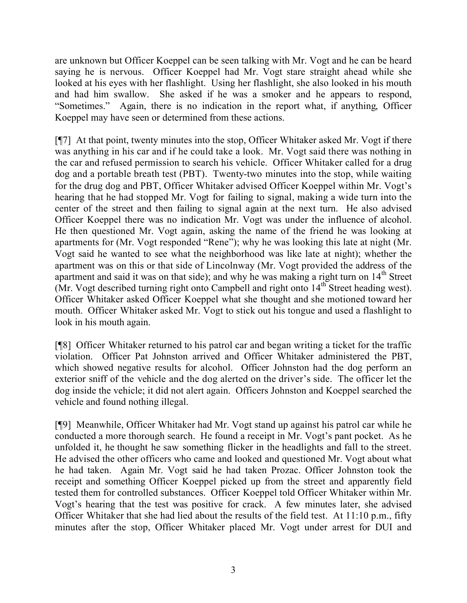are unknown but Officer Koeppel can be seen talking with Mr. Vogt and he can be heard saying he is nervous. Officer Koeppel had Mr. Vogt stare straight ahead while she looked at his eyes with her flashlight. Using her flashlight, she also looked in his mouth and had him swallow. She asked if he was a smoker and he appears to respond, "Sometimes." Again, there is no indication in the report what, if anything, Officer Koeppel may have seen or determined from these actions.

[¶7] At that point, twenty minutes into the stop, Officer Whitaker asked Mr. Vogt if there was anything in his car and if he could take a look. Mr. Vogt said there was nothing in the car and refused permission to search his vehicle. Officer Whitaker called for a drug dog and a portable breath test (PBT). Twenty-two minutes into the stop, while waiting for the drug dog and PBT, Officer Whitaker advised Officer Koeppel within Mr. Vogt's hearing that he had stopped Mr. Vogt for failing to signal, making a wide turn into the center of the street and then failing to signal again at the next turn. He also advised Officer Koeppel there was no indication Mr. Vogt was under the influence of alcohol. He then questioned Mr. Vogt again, asking the name of the friend he was looking at apartments for (Mr. Vogt responded "Rene"); why he was looking this late at night (Mr. Vogt said he wanted to see what the neighborhood was like late at night); whether the apartment was on this or that side of Lincolnway (Mr. Vogt provided the address of the apartment and said it was on that side); and why he was making a right turn on 14<sup>th</sup> Street (Mr. Vogt described turning right onto Campbell and right onto  $14<sup>th</sup>$  Street heading west). Officer Whitaker asked Officer Koeppel what she thought and she motioned toward her mouth. Officer Whitaker asked Mr. Vogt to stick out his tongue and used a flashlight to look in his mouth again.

[¶8] Officer Whitaker returned to his patrol car and began writing a ticket for the traffic violation. Officer Pat Johnston arrived and Officer Whitaker administered the PBT, which showed negative results for alcohol. Officer Johnston had the dog perform an exterior sniff of the vehicle and the dog alerted on the driver's side. The officer let the dog inside the vehicle; it did not alert again. Officers Johnston and Koeppel searched the vehicle and found nothing illegal.

[¶9] Meanwhile, Officer Whitaker had Mr. Vogt stand up against his patrol car while he conducted a more thorough search. He found a receipt in Mr. Vogt's pant pocket. As he unfolded it, he thought he saw something flicker in the headlights and fall to the street. He advised the other officers who came and looked and questioned Mr. Vogt about what he had taken. Again Mr. Vogt said he had taken Prozac. Officer Johnston took the receipt and something Officer Koeppel picked up from the street and apparently field tested them for controlled substances. Officer Koeppel told Officer Whitaker within Mr. Vogt's hearing that the test was positive for crack. A few minutes later, she advised Officer Whitaker that she had lied about the results of the field test. At 11:10 p.m., fifty minutes after the stop, Officer Whitaker placed Mr. Vogt under arrest for DUI and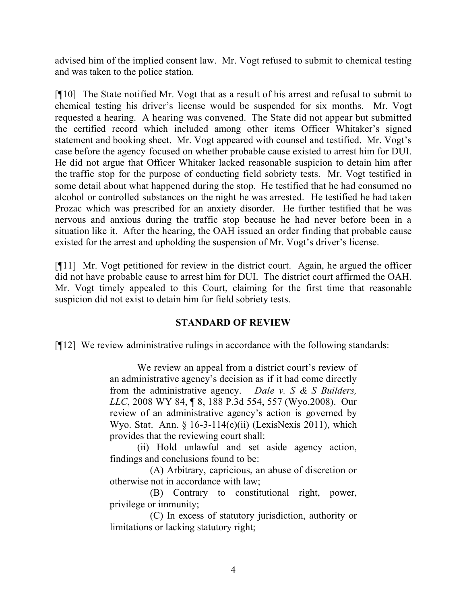advised him of the implied consent law. Mr. Vogt refused to submit to chemical testing and was taken to the police station.

[¶10] The State notified Mr. Vogt that as a result of his arrest and refusal to submit to chemical testing his driver's license would be suspended for six months. Mr. Vogt requested a hearing. A hearing was convened. The State did not appear but submitted the certified record which included among other items Officer Whitaker's signed statement and booking sheet. Mr. Vogt appeared with counsel and testified. Mr. Vogt's case before the agency focused on whether probable cause existed to arrest him for DUI. He did not argue that Officer Whitaker lacked reasonable suspicion to detain him after the traffic stop for the purpose of conducting field sobriety tests. Mr. Vogt testified in some detail about what happened during the stop. He testified that he had consumed no alcohol or controlled substances on the night he was arrested. He testified he had taken Prozac which was prescribed for an anxiety disorder. He further testified that he was nervous and anxious during the traffic stop because he had never before been in a situation like it. After the hearing, the OAH issued an order finding that probable cause existed for the arrest and upholding the suspension of Mr. Vogt's driver's license.

[¶11] Mr. Vogt petitioned for review in the district court. Again, he argued the officer did not have probable cause to arrest him for DUI. The district court affirmed the OAH. Mr. Vogt timely appealed to this Court, claiming for the first time that reasonable suspicion did not exist to detain him for field sobriety tests.

## **STANDARD OF REVIEW**

[¶12] We review administrative rulings in accordance with the following standards:

We review an appeal from a district court's review of an administrative agency's decision as if it had come directly from the administrative agency. *Dale v. S & S Builders, LLC*, 2008 WY 84, ¶ 8, 188 P.3d 554, 557 (Wyo.2008). Our review of an administrative agency's action is governed by Wyo. Stat. Ann.  $\frac{16-3-114(c)(ii)}{LexisNexis 2011}$ , which provides that the reviewing court shall:

(ii) Hold unlawful and set aside agency action, findings and conclusions found to be:

 (A) Arbitrary, capricious, an abuse of discretion or otherwise not in accordance with law;

 (B) Contrary to constitutional right, power, privilege or immunity;

 (C) In excess of statutory jurisdiction, authority or limitations or lacking statutory right;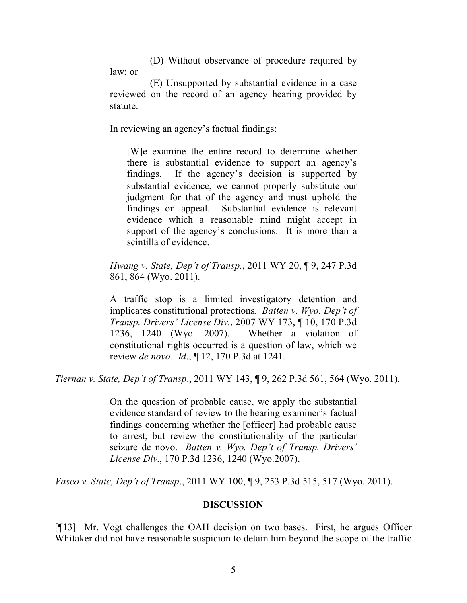(D) Without observance of procedure required by law; or

 (E) Unsupported by substantial evidence in a case reviewed on the record of an agency hearing provided by statute.

In reviewing an agency's factual findings:

[W]e examine the entire record to determine whether there is substantial evidence to support an agency's findings. If the agency's decision is supported by substantial evidence, we cannot properly substitute our judgment for that of the agency and must uphold the findings on appeal. Substantial evidence is relevant evidence which a reasonable mind might accept in support of the agency's conclusions. It is more than a scintilla of evidence.

*Hwang v. State, Dep't of Transp.*, 2011 WY 20, ¶ 9, 247 P.3d 861, 864 (Wyo. 2011).

A traffic stop is a limited investigatory detention and implicates constitutional protections*. Batten v. Wyo. Dep't of Transp. Drivers' License Div.*, 2007 WY 173, ¶ 10, 170 P.3d 1236, 1240 (Wyo. 2007). Whether a violation of constitutional rights occurred is a question of law, which we review *de novo*. *Id*., ¶ 12, 170 P.3d at 1241.

*Tiernan v. State, Dep't of Transp*., 2011 WY 143, ¶ 9, 262 P.3d 561, 564 (Wyo. 2011).

On the question of probable cause, we apply the substantial evidence standard of review to the hearing examiner's factual findings concerning whether the [officer] had probable cause to arrest, but review the constitutionality of the particular seizure de novo. *Batten v. Wyo. Dep't of Transp. Drivers' License Div*., 170 P.3d 1236, 1240 (Wyo.2007).

*Vasco v. State, Dep't of Transp*., 2011 WY 100, ¶ 9, 253 P.3d 515, 517 (Wyo. 2011).

## **DISCUSSION**

[¶13] Mr. Vogt challenges the OAH decision on two bases. First, he argues Officer Whitaker did not have reasonable suspicion to detain him beyond the scope of the traffic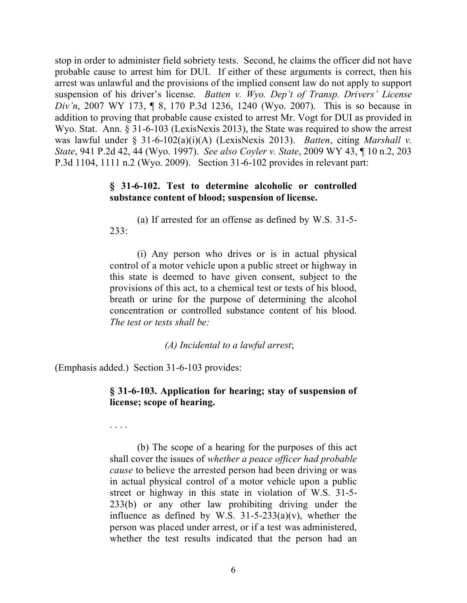stop in order to administer field sobriety tests. Second, he claims the officer did not have probable cause to arrest him for DUI. If either of these arguments is correct, then his arrest was unlawful and the provisions of the implied consent law do not apply to support suspension of his driver's license. *Batten v. Wyo. Dep't of Transp. Drivers' License Div'n*, 2007 WY 173, ¶ 8, 170 P.3d 1236, 1240 (Wyo. 2007). This is so because in addition to proving that probable cause existed to arrest Mr. Vogt for DUI as provided in Wyo. Stat. Ann. § 31-6-103 (LexisNexis 2013), the State was required to show the arrest was lawful under § 31-6-102(a)(i)(A) (LexisNexis 2013). *Batten*, citing *Marshall v. State*, 941 P.2d 42, 44 (Wyo. 1997). *See also Coyler v. State*, 2009 WY 43, ¶ 10 n.2, 203 P.3d 1104, 1111 n.2 (Wyo. 2009). Section 31-6-102 provides in relevant part:

#### **§ 31-6-102. Test to determine alcoholic or controlled substance content of blood; suspension of license.**

(a) If arrested for an offense as defined by W.S. 31-5- 233:

(i) Any person who drives or is in actual physical control of a motor vehicle upon a public street or highway in this state is deemed to have given consent, subject to the provisions of this act, to a chemical test or tests of his blood, breath or urine for the purpose of determining the alcohol concentration or controlled substance content of his blood. *The test or tests shall be:*

*(A) Incidental to a lawful arrest*;

(Emphasis added.) Section 31-6-103 provides:

## **§ 31-6-103. Application for hearing; stay of suspension of license; scope of hearing.**

. . . .

(b) The scope of a hearing for the purposes of this act shall cover the issues of *whether a peace officer had probable cause* to believe the arrested person had been driving or was in actual physical control of a motor vehicle upon a public street or highway in this state in violation of W.S. 31-5- 233(b) or any other law prohibiting driving under the influence as defined by W.S.  $31-5-233(a)(v)$ , whether the person was placed under arrest, or if a test was administered, whether the test results indicated that the person had an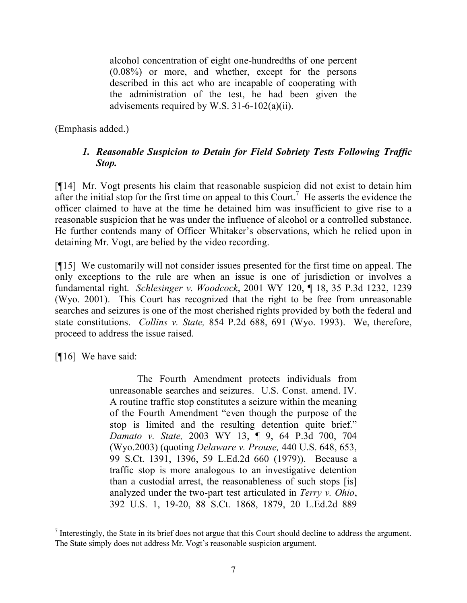alcohol concentration of eight one-hundredths of one percent (0.08%) or more, and whether, except for the persons described in this act who are incapable of cooperating with the administration of the test, he had been given the advisements required by W.S. 31-6-102(a)(ii).

(Emphasis added.)

# *1. Reasonable Suspicion to Detain for Field Sobriety Tests Following Traffic Stop.*

[¶14] Mr. Vogt presents his claim that reasonable suspicion did not exist to detain him after the initial stop for the first time on appeal to this Court.<sup>7</sup> He asserts the evidence the officer claimed to have at the time he detained him was insufficient to give rise to a reasonable suspicion that he was under the influence of alcohol or a controlled substance. He further contends many of Officer Whitaker's observations, which he relied upon in detaining Mr. Vogt, are belied by the video recording.

[¶15] We customarily will not consider issues presented for the first time on appeal. The only exceptions to the rule are when an issue is one of jurisdiction or involves a fundamental right. *Schlesinger v. Woodcock*, 2001 WY 120, ¶ 18, 35 P.3d 1232, 1239 (Wyo. 2001). This Court has recognized that the right to be free from unreasonable searches and seizures is one of the most cherished rights provided by both the federal and state constitutions. *Collins v. State,* 854 P.2d 688, 691 (Wyo. 1993). We, therefore, proceed to address the issue raised.

[¶16] We have said:

The Fourth Amendment protects individuals from unreasonable searches and seizures. U.S. Const. amend. IV. A routine traffic stop constitutes a seizure within the meaning of the Fourth Amendment "even though the purpose of the stop is limited and the resulting detention quite brief." *Damato v. State,* 2003 WY 13, ¶ 9, 64 P.3d 700, 704 (Wyo.2003) (quoting *Delaware v. Prouse,* 440 U.S. 648, 653, 99 S.Ct. 1391, 1396, 59 L.Ed.2d 660 (1979)). Because a traffic stop is more analogous to an investigative detention than a custodial arrest, the reasonableness of such stops [is] analyzed under the two-part test articulated in *Terry v. Ohio*, 392 U.S. 1, 19-20, 88 S.Ct. 1868, 1879, 20 L.Ed.2d 889

 $<sup>7</sup>$  Interestingly, the State in its brief does not argue that this Court should decline to address the argument.</sup> The State simply does not address Mr. Vogt's reasonable suspicion argument.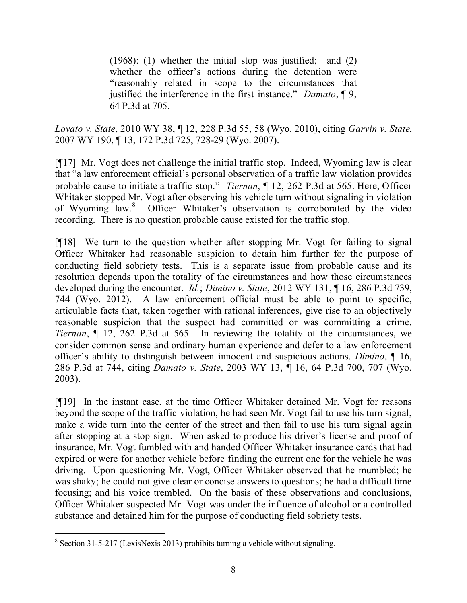(1968): (1) whether the initial stop was justified; and (2) whether the officer's actions during the detention were "reasonably related in scope to the circumstances that justified the interference in the first instance." *Damato*, ¶ 9, 64 P.3d at 705.

*Lovato v. State*, 2010 WY 38, ¶ 12, 228 P.3d 55, 58 (Wyo. 2010), citing *Garvin v. State*, 2007 WY 190, ¶ 13, 172 P.3d 725, 728-29 (Wyo. 2007).

[¶17] Mr. Vogt does not challenge the initial traffic stop. Indeed, Wyoming law is clear that "a law enforcement official's personal observation of a traffic law violation provides probable cause to initiate a traffic stop." *Tiernan*, ¶ 12, 262 P.3d at 565. Here, Officer Whitaker stopped Mr. Vogt after observing his vehicle turn without signaling in violation of Wyoming law.<sup>8</sup> Officer Whitaker's observation is corroborated by the video recording. There is no question probable cause existed for the traffic stop.

[¶18] We turn to the question whether after stopping Mr. Vogt for failing to signal Officer Whitaker had reasonable suspicion to detain him further for the purpose of conducting field sobriety tests. This is a separate issue from probable cause and its resolution depends upon the totality of the circumstances and how those circumstances developed during the encounter. *Id.*; *Dimino v. State*, 2012 WY 131, ¶ 16, 286 P.3d 739, 744 (Wyo. 2012). A law enforcement official must be able to point to specific, articulable facts that, taken together with rational inferences, give rise to an objectively reasonable suspicion that the suspect had committed or was committing a crime. *Tiernan*, ¶ 12, 262 P.3d at 565. In reviewing the totality of the circumstances, we consider common sense and ordinary human experience and defer to a law enforcement officer's ability to distinguish between innocent and suspicious actions. *Dimino*, ¶ 16, 286 P.3d at 744, citing *Damato v. State*, 2003 WY 13, ¶ 16, 64 P.3d 700, 707 (Wyo. 2003).

[¶19] In the instant case, at the time Officer Whitaker detained Mr. Vogt for reasons beyond the scope of the traffic violation, he had seen Mr. Vogt fail to use his turn signal, make a wide turn into the center of the street and then fail to use his turn signal again after stopping at a stop sign. When asked to produce his driver's license and proof of insurance, Mr. Vogt fumbled with and handed Officer Whitaker insurance cards that had expired or were for another vehicle before finding the current one for the vehicle he was driving. Upon questioning Mr. Vogt, Officer Whitaker observed that he mumbled; he was shaky; he could not give clear or concise answers to questions; he had a difficult time focusing; and his voice trembled. On the basis of these observations and conclusions, Officer Whitaker suspected Mr. Vogt was under the influence of alcohol or a controlled substance and detained him for the purpose of conducting field sobriety tests.

 $\overline{a}$ <sup>8</sup> Section 31-5-217 (LexisNexis 2013) prohibits turning a vehicle without signaling.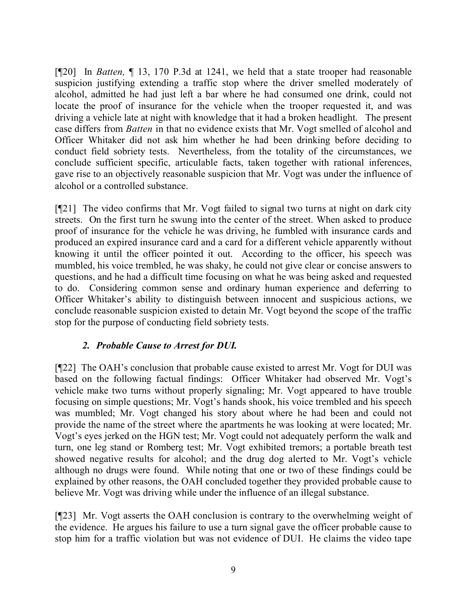[¶20] In *Batten,* ¶ 13, 170 P.3d at 1241, we held that a state trooper had reasonable suspicion justifying extending a traffic stop where the driver smelled moderately of alcohol, admitted he had just left a bar where he had consumed one drink, could not locate the proof of insurance for the vehicle when the trooper requested it, and was driving a vehicle late at night with knowledge that it had a broken headlight. The present case differs from *Batten* in that no evidence exists that Mr. Vogt smelled of alcohol and Officer Whitaker did not ask him whether he had been drinking before deciding to conduct field sobriety tests. Nevertheless, from the totality of the circumstances, we conclude sufficient specific, articulable facts, taken together with rational inferences, gave rise to an objectively reasonable suspicion that Mr. Vogt was under the influence of alcohol or a controlled substance.

[¶21] The video confirms that Mr. Vogt failed to signal two turns at night on dark city streets. On the first turn he swung into the center of the street. When asked to produce proof of insurance for the vehicle he was driving, he fumbled with insurance cards and produced an expired insurance card and a card for a different vehicle apparently without knowing it until the officer pointed it out. According to the officer, his speech was mumbled, his voice trembled, he was shaky, he could not give clear or concise answers to questions, and he had a difficult time focusing on what he was being asked and requested to do. Considering common sense and ordinary human experience and deferring to Officer Whitaker's ability to distinguish between innocent and suspicious actions, we conclude reasonable suspicion existed to detain Mr. Vogt beyond the scope of the traffic stop for the purpose of conducting field sobriety tests.

## *2. Probable Cause to Arrest for DUI.*

[¶22] The OAH's conclusion that probable cause existed to arrest Mr. Vogt for DUI was based on the following factual findings: Officer Whitaker had observed Mr. Vogt's vehicle make two turns without properly signaling; Mr. Vogt appeared to have trouble focusing on simple questions; Mr. Vogt's hands shook, his voice trembled and his speech was mumbled; Mr. Vogt changed his story about where he had been and could not provide the name of the street where the apartments he was looking at were located; Mr. Vogt's eyes jerked on the HGN test; Mr. Vogt could not adequately perform the walk and turn, one leg stand or Romberg test; Mr. Vogt exhibited tremors; a portable breath test showed negative results for alcohol; and the drug dog alerted to Mr. Vogt's vehicle although no drugs were found. While noting that one or two of these findings could be explained by other reasons, the OAH concluded together they provided probable cause to believe Mr. Vogt was driving while under the influence of an illegal substance.

[¶23] Mr. Vogt asserts the OAH conclusion is contrary to the overwhelming weight of the evidence. He argues his failure to use a turn signal gave the officer probable cause to stop him for a traffic violation but was not evidence of DUI. He claims the video tape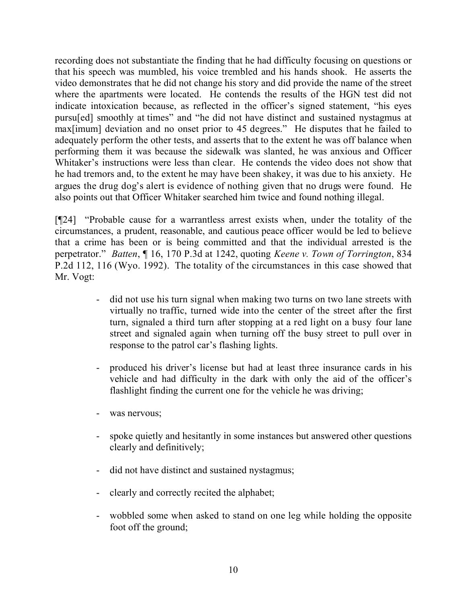recording does not substantiate the finding that he had difficulty focusing on questions or that his speech was mumbled, his voice trembled and his hands shook. He asserts the video demonstrates that he did not change his story and did provide the name of the street where the apartments were located. He contends the results of the HGN test did not indicate intoxication because, as reflected in the officer's signed statement, "his eyes pursu[ed] smoothly at times" and "he did not have distinct and sustained nystagmus at max[imum] deviation and no onset prior to 45 degrees." He disputes that he failed to adequately perform the other tests, and asserts that to the extent he was off balance when performing them it was because the sidewalk was slanted, he was anxious and Officer Whitaker's instructions were less than clear. He contends the video does not show that he had tremors and, to the extent he may have been shakey, it was due to his anxiety. He argues the drug dog's alert is evidence of nothing given that no drugs were found. He also points out that Officer Whitaker searched him twice and found nothing illegal.

[¶24] "Probable cause for a warrantless arrest exists when, under the totality of the circumstances, a prudent, reasonable, and cautious peace officer would be led to believe that a crime has been or is being committed and that the individual arrested is the perpetrator." *Batten*, ¶ 16, 170 P.3d at 1242, quoting *Keene v. Town of Torrington*, 834 P.2d 112, 116 (Wyo. 1992). The totality of the circumstances in this case showed that Mr. Vogt:

- did not use his turn signal when making two turns on two lane streets with virtually no traffic, turned wide into the center of the street after the first turn, signaled a third turn after stopping at a red light on a busy four lane street and signaled again when turning off the busy street to pull over in response to the patrol car's flashing lights.
- produced his driver's license but had at least three insurance cards in his vehicle and had difficulty in the dark with only the aid of the officer's flashlight finding the current one for the vehicle he was driving;
- was nervous;
- spoke quietly and hesitantly in some instances but answered other questions clearly and definitively;
- did not have distinct and sustained nystagmus;
- clearly and correctly recited the alphabet;
- wobbled some when asked to stand on one leg while holding the opposite foot off the ground;